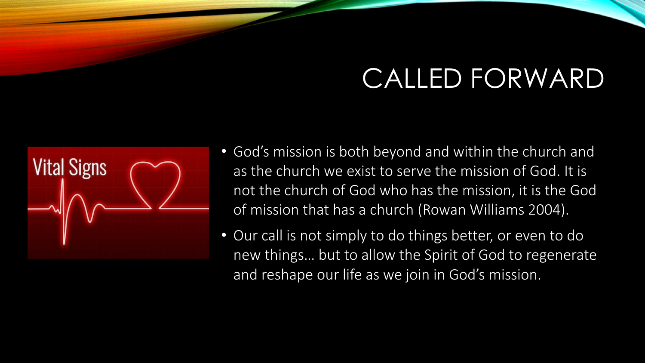

- God's mission is both beyond and within the church and as the church we exist to serve the mission of God. It is not the church of God who has the mission, it is the God of mission that has a church (Rowan Williams 2004).
- Our call is not simply to do things better, or even to do new things… but to allow the Spirit of God to regenerate and reshape our life as we join in God's mission.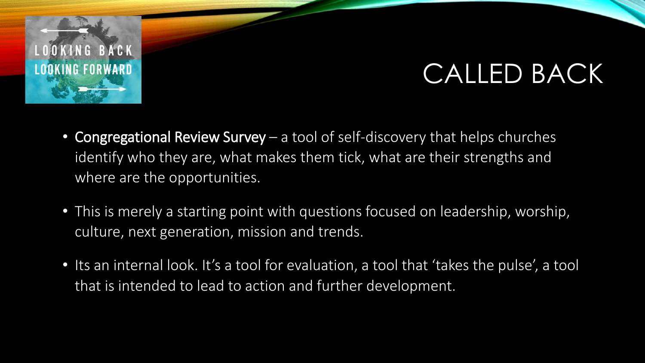

## CALLED BACK

- Congregational Review Survey a tool of self-discovery that helps churches identify who they are, what makes them tick, what are their strengths and where are the opportunities.
- This is merely a starting point with questions focused on leadership, worship, culture, next generation, mission and trends.
- Its an internal look. It's a tool for evaluation, a tool that 'takes the pulse', a tool that is intended to lead to action and further development.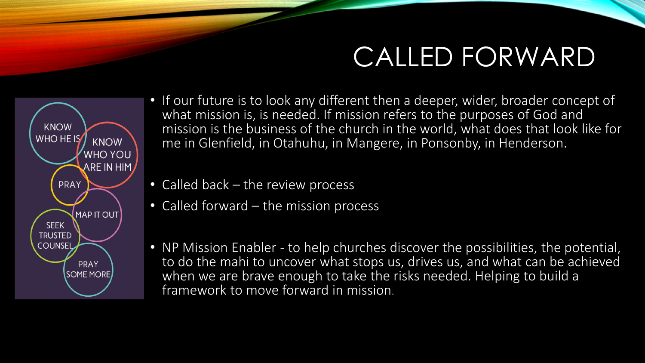

- If our future is to look any different then a deeper, wider, broader concept of what mission is, is needed. If mission refers to the purposes of God and mission is the business of the church in the world, what does that look like for me in Glenfield, in Otahuhu, in Mangere, in Ponsonby, in Henderson.
- Called back the review process
- Called forward the mission process
- NP Mission Enabler to help churches discover the possibilities, the potential, to do the mahi to uncover what stops us, drives us, and what can be achieved when we are brave enough to take the risks needed. Helping to build a framework to move forward in mission.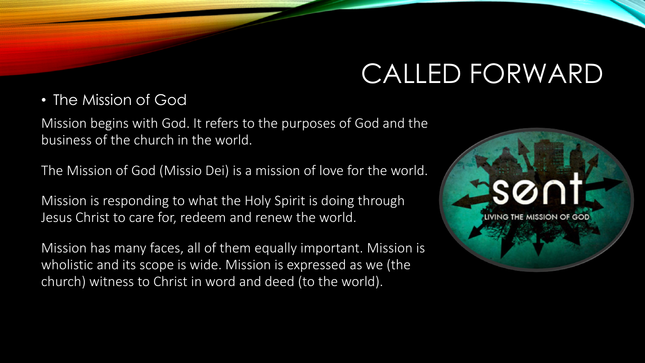• The Mission of God

Mission begins with God. It refers to the purposes of God and the business of the church in the world.

The Mission of God (Missio Dei) is a mission of love for the world.

Mission is responding to what the Holy Spirit is doing through Jesus Christ to care for, redeem and renew the world.

Mission has many faces, all of them equally important. Mission is wholistic and its scope is wide. Mission is expressed as we (the church) witness to Christ in word and deed (to the world).

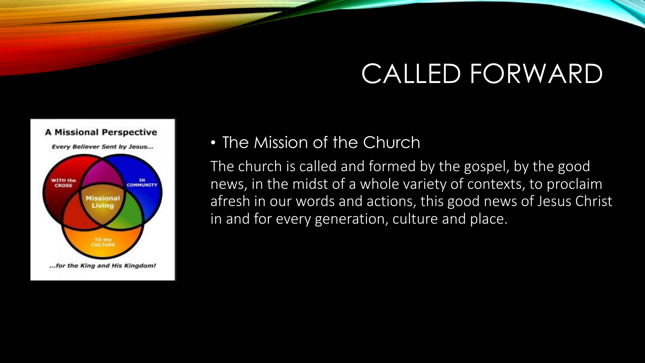

#### • The Mission of the Church

The church is called and formed by the gospel, by the good news, in the midst of a whole variety of contexts, to proclaim afresh in our words and actions, this good news of Jesus Christ in and for every generation, culture and place.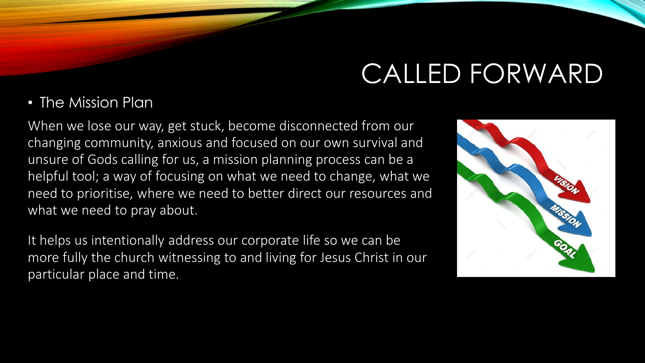#### • The Mission Plan

When we lose our way, get stuck, become disconnected from our changing community, anxious and focused on our own survival and unsure of Gods calling for us, a mission planning process can be a helpful tool; a way of focusing on what we need to change, what we need to prioritise, where we need to better direct our resources and what we need to pray about.

It helps us intentionally address our corporate life so we can be more fully the church witnessing to and living for Jesus Christ in our particular place and time.

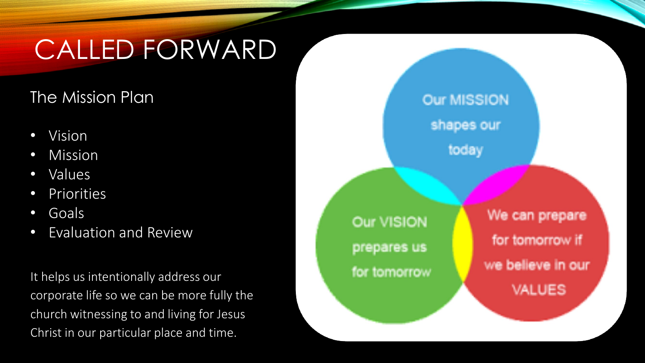#### The Mission Plan

- Vision
- Mission
- Values
- Priorities
- Goals
- Evaluation and Review

It helps us intentionally address our corporate life so we can be more fully the church witnessing to and living for Jesus Christ in our particular place and time.

**Our MISSION** shapes our today

Our VISION prepares us for tomorrow

We can prepare for tomorrow if we believe in our **VALUES**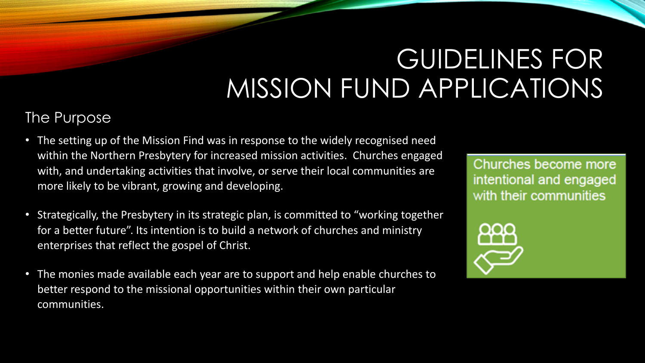#### The Purpose

- The setting up of the Mission Find was in response to the widely recognised need within the Northern Presbytery for increased mission activities. Churches engaged with, and undertaking activities that involve, or serve their local communities are more likely to be vibrant, growing and developing.
- Strategically, the Presbytery in its strategic plan, is committed to "working together for a better future". Its intention is to build a network of churches and ministry enterprises that reflect the gospel of Christ.
- The monies made available each year are to support and help enable churches to better respond to the missional opportunities within their own particular communities.

Churches become more intentional and engaged with their communities

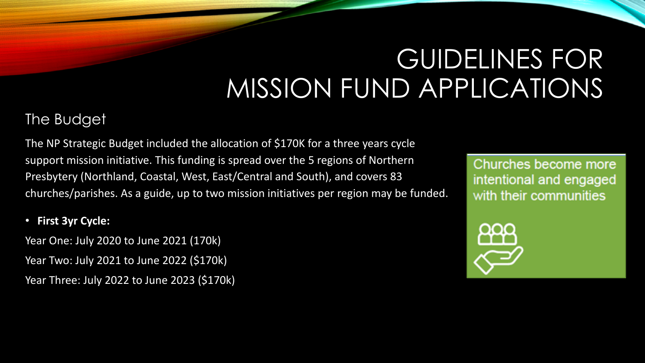#### The Budget

The NP Strategic Budget included the allocation of \$170K for a three years cycle support mission initiative. This funding is spread over the 5 regions of Northern Presbytery (Northland, Coastal, West, East/Central and South), and covers 83 churches/parishes. As a guide, up to two mission initiatives per region may be funded.

#### • **First 3yr Cycle:**

Year One: July 2020 to June 2021 (170k) Year Two: July 2021 to June 2022 (\$170k) Year Three: July 2022 to June 2023 (\$170k)

Churches become more intentional and engaged with their communities

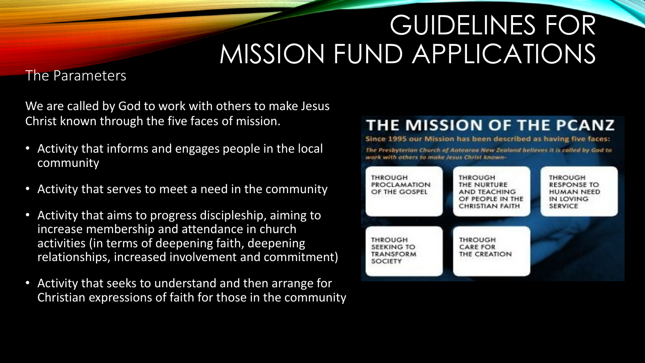#### The Parameters

We are called by God to work with others to make Jesus Christ known through the five faces of mission.

- Activity that informs and engages people in the local community
- Activity that serves to meet a need in the community
- Activity that aims to progress discipleship, aiming to increase membership and attendance in church activities (in terms of deepening faith, deepening relationships, increased involvement and commitment)
- Activity that seeks to understand and then arrange for Christian expressions of faith for those in the community

#### **THE MISSION OF THE PCANZ**

Since 1995 our Mission has been described as having five faces:

The Presbyterian Church of Aotearoo New Zealand believes it is called by God to work with others to make lesss Christ known-

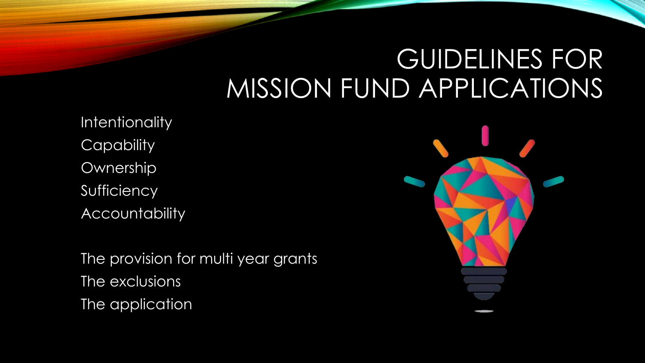**Intentionality Capability** Ownership Sufficiency **Accountability** 

The provision for multi year grants The exclusions The application